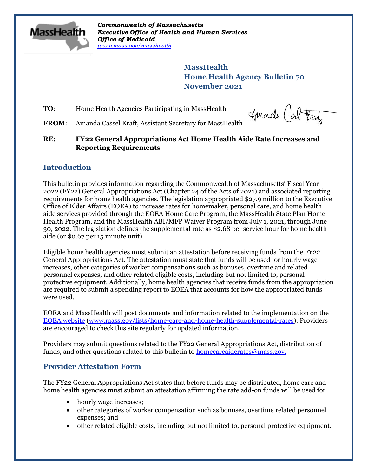

*Commonwealth of Massachusetts Executive Office of Health and Human Services Office of Medicaid [www.mass.gov/masshealth](http://www.mass.gov/masshealth)*

> **MassHealth Home Health Agency Bulletin 70 November 2021**

**TO:** Home Health Agencies Participating in MassHealth

Huade (about

FROM: Amanda Cassel Kraft, Assistant Secretary for MassHealth

**RE: FY22 General Appropriations Act Home Health Aide Rate Increases and Reporting Requirements**

## **Introduction**

This bulletin provides information regarding the Commonwealth of Massachusetts' Fiscal Year 2022 (FY22) General Appropriations Act (Chapter 24 of the Acts of 2021) and associated reporting requirements for home health agencies. The legislation appropriated \$27.9 million to the Executive Office of Elder Affairs (EOEA) to increase rates for homemaker, personal care, and home health aide services provided through the EOEA Home Care Program, the MassHealth State Plan Home Health Program, and the MassHealth ABI/MFP Waiver Program from July 1, 2021, through June 30, 2022. The legislation defines the supplemental rate as \$2.68 per service hour for home health aide (or \$0.67 per 15 minute unit).

Eligible home health agencies must submit an attestation before receiving funds from the FY22 General Appropriations Act. The attestation must state that funds will be used for hourly wage increases, other categories of worker compensations such as bonuses, overtime and related personnel expenses, and other related eligible costs, including but not limited to, personal protective equipment. Additionally, home health agencies that receive funds from the appropriation are required to submit a spending report to EOEA that accounts for how the appropriated funds were used.

EOEA and MassHealth will post documents and information related to the implementation on the [EOEA website](https://www.mass.gov/lists/home-care-and-home-health-supplemental-rates) [\(www.mass.gov/lists/home-care-and-home-health-supplemental-rates\)](https://www.mass.gov/lists/home-care-and-home-health-supplemental-rates). Providers are encouraged to check this site regularly for updated information.

Providers may submit questions related to the FY22 General Appropriations Act, distribution of funds, and other questions related to this bulletin to [homecareaiderates@mass.gov.](mailto:homecareaiderates@mass.gov)

# **Provider Attestation Form**

The FY22 General Appropriations Act states that before funds may be distributed, home care and home health agencies must submit an attestation affirming the rate add-on funds will be used for

- hourly wage increases;
- other categories of worker compensation such as bonuses, overtime related personnel expenses; and
- other related eligible costs, including but not limited to, personal protective equipment.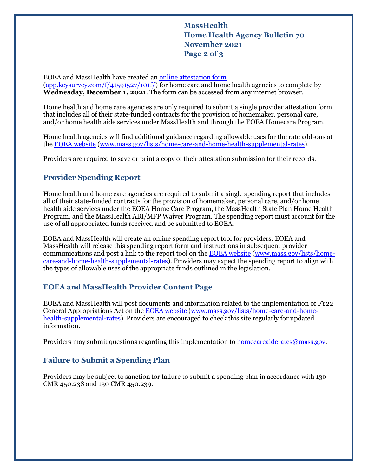**MassHealth Home Health Agency Bulletin 70 November 2021 Page 2 of 3**

EOEA and MassHealth have created an [online attestation form](https://app.keysurvey.com/f/41591527/101f/) [\(app.keysurvey.com/f/41591527/101f/\)](https://app.keysurvey.com/f/41591527/101f/) for home care and home health agencies to complete by **Wednesday, December 1, 2021**. The form can be accessed from any internet browser.

Home health and home care agencies are only required to submit a single provider attestation form that includes all of their state-funded contracts for the provision of homemaker, personal care, and/or home health aide services under MassHealth and through the EOEA Homecare Program.

Home health agencies will find additional guidance regarding allowable uses for the rate add-ons at the [EOEA website](https://www.mass.gov/lists/home-care-and-home-health-supplemental-rates) [\(www.mass.gov/lists/home-care-and-home-health-supplemental-rates\)](https://www.mass.gov/lists/home-care-and-home-health-supplemental-rates).

Providers are required to save or print a copy of their attestation submission for their records.

# **Provider Spending Report**

Home health and home care agencies are required to submit a single spending report that includes all of their state-funded contracts for the provision of homemaker, personal care, and/or home health aide services under the EOEA Home Care Program, the MassHealth State Plan Home Health Program, and the MassHealth ABI/MFP Waiver Program. The spending report must account for the use of all appropriated funds received and be submitted to EOEA.

EOEA and MassHealth will create an online spending report tool for providers. EOEA and MassHealth will release this spending report form and instructions in subsequent provider communications and post a link to the report tool on the [EOEA website](https://www.mass.gov/lists/home-care-and-home-health-supplemental-rates) [\(www.mass.gov/lists/home](https://www.mass.gov/lists/home-care-and-home-health-supplemental-rates)[care-and-home-health-supplemental-rates\)](https://www.mass.gov/lists/home-care-and-home-health-supplemental-rates). Providers may expect the spending report to align with the types of allowable uses of the appropriate funds outlined in the legislation.

## **EOEA and MassHealth Provider Content Page**

EOEA and MassHealth will post documents and information related to the implementation of FY22 General Appropriations Act on the [EOEA website](https://www.mass.gov/lists/home-care-and-home-health-supplemental-rates) [\(www.mass.gov/lists/home-care-and-home](https://www.mass.gov/lists/home-care-and-home-health-supplemental-rates)[health-supplemental-rates\)](https://www.mass.gov/lists/home-care-and-home-health-supplemental-rates). Providers are encouraged to check this site regularly for updated information.

Providers may submit questions regarding this implementation to [homecareaiderates@mass.gov.](mailto:homecareaiderates@mass.gov)

## **Failure to Submit a Spending Plan**

Providers may be subject to sanction for failure to submit a spending plan in accordance with 130 CMR 450.238 and 130 CMR 450.239.